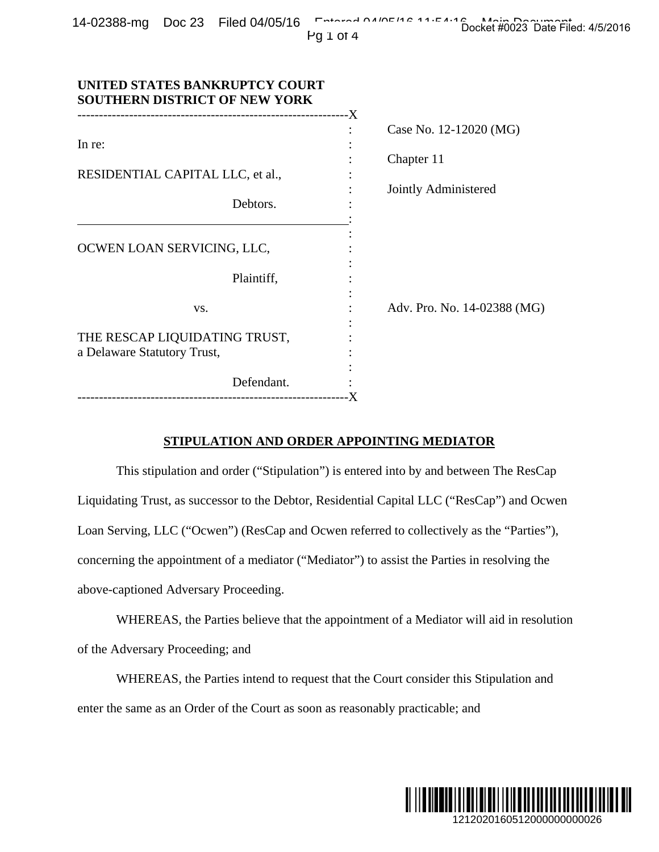|  | $14-02388$ -mg Doc 23 Filed 04/05/16 $\overline{ }$ $\overline{ }$ $\overline{ }$ $\overline{ }$ $\overline{ }$ $\overline{ }$ $\overline{ }$ $\overline{ }$ $\overline{ }$ $\overline{ }$ $\overline{ }$ $\overline{ }$ $\overline{ }$ $\overline{ }$ $\overline{ }$ $\overline{ }$ $\overline{ }$ $\overline{ }$ $\overline{ }$ $\overline{ }$ $\overline{ }$ $\overline{ }$ $\overline{ }$ | Docket #0023 Date Filed: 4/5/2016 |  |
|--|-----------------------------------------------------------------------------------------------------------------------------------------------------------------------------------------------------------------------------------------------------------------------------------------------------------------------------------------------------------------------------------------------|-----------------------------------|--|
|  | Pn 1 n 1                                                                                                                                                                                                                                                                                                                                                                                      |                                   |  |

| ٦ |  | ΙТ<br>C |  |
|---|--|---------|--|
|---|--|---------|--|

| In re:<br>RESIDENTIAL CAPITAL LLC, et al.,<br>Debtors.<br>OCWEN LOAN SERVICING, LLC,<br>Plaintiff,                                                                                                                                                                                                                                                                                                                 | Case No. 12-12020 (MG)<br>Chapter 11<br>Jointly Administered                                                                                                                   |
|--------------------------------------------------------------------------------------------------------------------------------------------------------------------------------------------------------------------------------------------------------------------------------------------------------------------------------------------------------------------------------------------------------------------|--------------------------------------------------------------------------------------------------------------------------------------------------------------------------------|
| VS.                                                                                                                                                                                                                                                                                                                                                                                                                | Adv. Pro. No. 14-02388 (MG)                                                                                                                                                    |
| THE RESCAP LIQUIDATING TRUST,<br>a Delaware Statutory Trust,                                                                                                                                                                                                                                                                                                                                                       |                                                                                                                                                                                |
| Defendant.                                                                                                                                                                                                                                                                                                                                                                                                         |                                                                                                                                                                                |
| STIPULATION AND ORDER APPOINTING MEDIATOR<br>Liquidating Trust, as successor to the Debtor, Residential Capital LLC ("ResCap") and Ocwen<br>Loan Serving, LLC ("Ocwen") (ResCap and Ocwen referred to collectively as the "Parties"),<br>concerning the appointment of a mediator ("Mediator") to assist the Parties in resolving the<br>above-captioned Adversary Proceeding.<br>of the Adversary Proceeding; and | This stipulation and order ("Stipulation") is entered into by and between The ResCap<br>WHEREAS, the Parties believe that the appointment of a Mediator will aid in resolution |
| WHEREAS, the Parties intend to request that the Court consider this Stipulation and                                                                                                                                                                                                                                                                                                                                |                                                                                                                                                                                |

### **STIPULATION AND ORDER APPOINTING MEDIATOR**

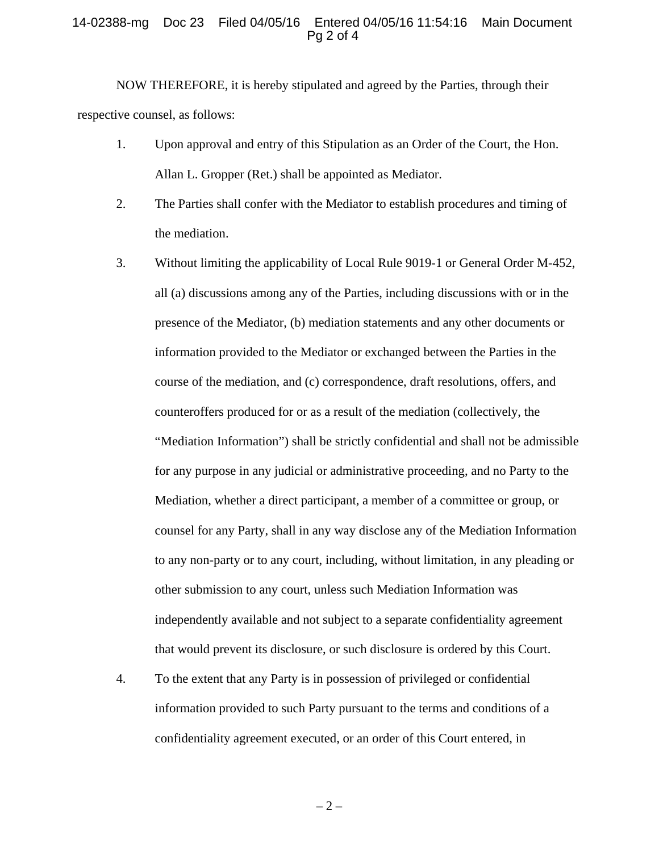#### 14-02388-mg Doc 23 Filed 04/05/16 Entered 04/05/16 11:54:16 Main Document Pg 2 of 4

NOW THEREFORE, it is hereby stipulated and agreed by the Parties, through their respective counsel, as follows:

- 1. Upon approval and entry of this Stipulation as an Order of the Court, the Hon. Allan L. Gropper (Ret.) shall be appointed as Mediator.
- 2. The Parties shall confer with the Mediator to establish procedures and timing of the mediation.
- 3. Without limiting the applicability of Local Rule 9019-1 or General Order M-452, all (a) discussions among any of the Parties, including discussions with or in the presence of the Mediator, (b) mediation statements and any other documents or information provided to the Mediator or exchanged between the Parties in the course of the mediation, and (c) correspondence, draft resolutions, offers, and counteroffers produced for or as a result of the mediation (collectively, the "Mediation Information") shall be strictly confidential and shall not be admissible for any purpose in any judicial or administrative proceeding, and no Party to the Mediation, whether a direct participant, a member of a committee or group, or counsel for any Party, shall in any way disclose any of the Mediation Information to any non-party or to any court, including, without limitation, in any pleading or other submission to any court, unless such Mediation Information was independently available and not subject to a separate confidentiality agreement that would prevent its disclosure, or such disclosure is ordered by this Court.
- 4. To the extent that any Party is in possession of privileged or confidential information provided to such Party pursuant to the terms and conditions of a confidentiality agreement executed, or an order of this Court entered, in

 $-2-$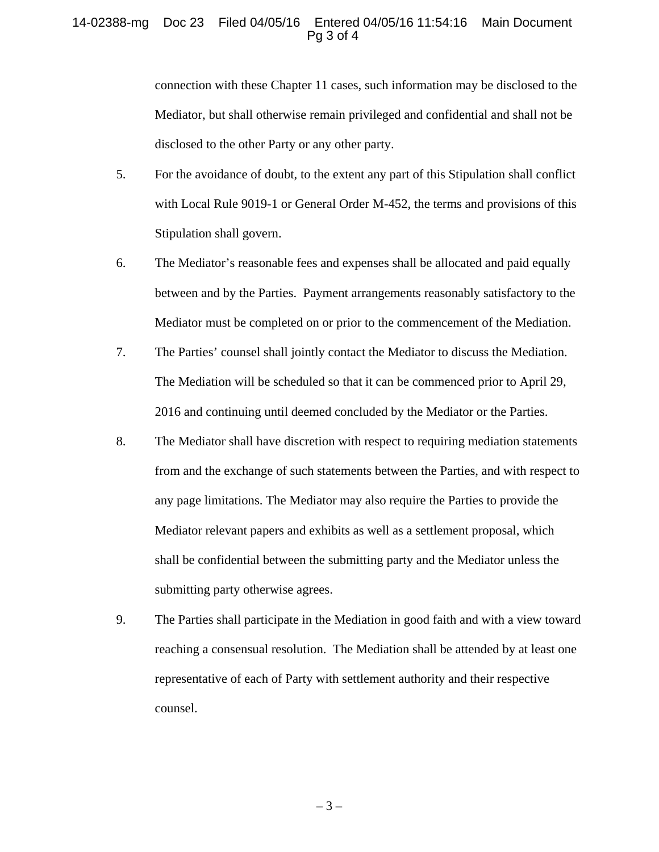### 14-02388-mg Doc 23 Filed 04/05/16 Entered 04/05/16 11:54:16 Main Document Pg 3 of 4

connection with these Chapter 11 cases, such information may be disclosed to the Mediator, but shall otherwise remain privileged and confidential and shall not be disclosed to the other Party or any other party.

- 5. For the avoidance of doubt, to the extent any part of this Stipulation shall conflict with Local Rule 9019-1 or General Order M-452, the terms and provisions of this Stipulation shall govern.
- 6. The Mediator's reasonable fees and expenses shall be allocated and paid equally between and by the Parties. Payment arrangements reasonably satisfactory to the Mediator must be completed on or prior to the commencement of the Mediation.
- 7. The Parties' counsel shall jointly contact the Mediator to discuss the Mediation. The Mediation will be scheduled so that it can be commenced prior to April 29, 2016 and continuing until deemed concluded by the Mediator or the Parties.
- 8. The Mediator shall have discretion with respect to requiring mediation statements from and the exchange of such statements between the Parties, and with respect to any page limitations. The Mediator may also require the Parties to provide the Mediator relevant papers and exhibits as well as a settlement proposal, which shall be confidential between the submitting party and the Mediator unless the submitting party otherwise agrees.
- 9. The Parties shall participate in the Mediation in good faith and with a view toward reaching a consensual resolution. The Mediation shall be attended by at least one representative of each of Party with settlement authority and their respective counsel.